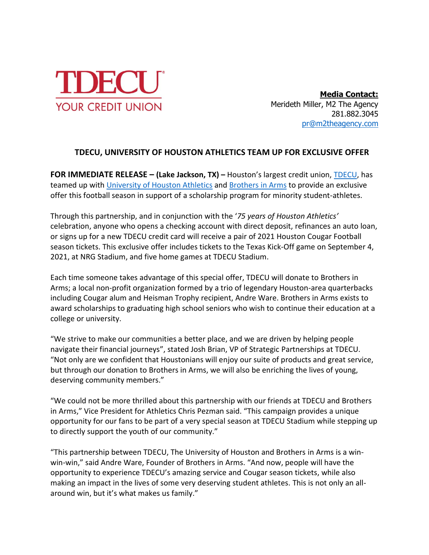

**Media Contact:** Merideth Miller, M2 The Agency 281.882.3045 [pr@m2theagency.com](mailto:pr@m2theagency.com)

## **TDECU, UNIVERSITY OF HOUSTON ATHLETICS TEAM UP FOR EXCLUSIVE OFFER**

**FOR IMMEDIATE RELEASE – (Lake Jackson, TX) –** Houston's largest credit union, [TDECU,](http://www.tdecu.org/) has teamed up with [University of Houston Athletics](https://uhcougars.com/) and [Brothers in Arms](https://www.brothersinarmshouston.com/) to provide an exclusive offer this football season in support of a scholarship program for minority student-athletes.

Through this partnership, and in conjunction with the '*75 years of Houston Athletics'* celebration, anyone who opens a checking account with direct deposit, refinances an auto loan, or signs up for a new TDECU credit card will receive a pair of 2021 Houston Cougar Football season tickets. This exclusive offer includes tickets to the Texas Kick-Off game on September 4, 2021, at NRG Stadium, and five home games at TDECU Stadium.

Each time someone takes advantage of this special offer, TDECU will donate to Brothers in Arms; a local non-profit organization formed by a trio of legendary Houston-area quarterbacks including Cougar alum and Heisman Trophy recipient, Andre Ware. Brothers in Arms exists to award scholarships to graduating high school seniors who wish to continue their education at a college or university.

"We strive to make our communities a better place, and we are driven by helping people navigate their financial journeys", stated Josh Brian, VP of Strategic Partnerships at TDECU. "Not only are we confident that Houstonians will enjoy our suite of products and great service, but through our donation to Brothers in Arms, we will also be enriching the lives of young, deserving community members."

"We could not be more thrilled about this partnership with our friends at TDECU and Brothers in Arms," Vice President for Athletics Chris Pezman said. "This campaign provides a unique opportunity for our fans to be part of a very special season at TDECU Stadium while stepping up to directly support the youth of our community."

"This partnership between TDECU, The University of Houston and Brothers in Arms is a winwin-win," said Andre Ware, Founder of Brothers in Arms. "And now, people will have the opportunity to experience TDECU's amazing service and Cougar season tickets, while also making an impact in the lives of some very deserving student athletes. This is not only an allaround win, but it's what makes us family."